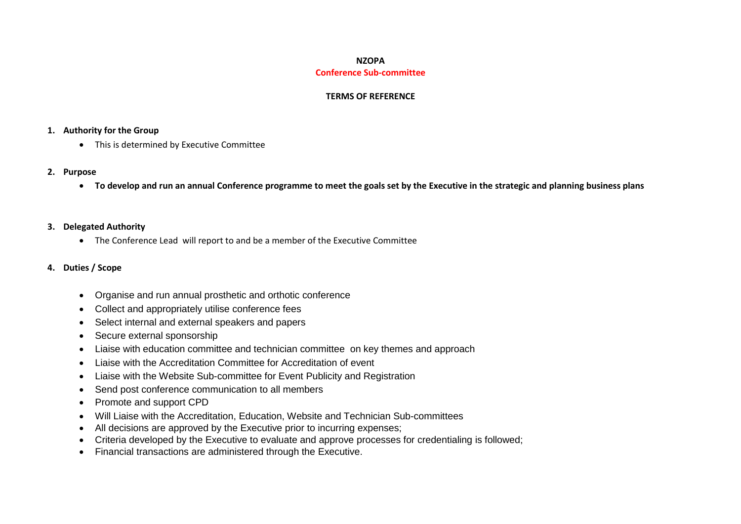### **NZOPA Conference Sub-committee**

### **TERMS OF REFERENCE**

### **1. Authority for the Group**

• This is determined by Executive Committee

#### **2. Purpose**

**To develop and run an annual Conference programme to meet the goals set by the Executive in the strategic and planning business plans**

### **3. Delegated Authority**

The Conference Lead will report to and be a member of the Executive Committee

### **4. Duties / Scope**

- Organise and run annual prosthetic and orthotic conference
- Collect and appropriately utilise conference fees
- Select internal and external speakers and papers
- Secure external sponsorship
- Liaise with education committee and technician committee on key themes and approach
- Liaise with the Accreditation Committee for Accreditation of event
- Liaise with the Website Sub-committee for Event Publicity and Registration
- Send post conference communication to all members
- Promote and support CPD
- Will Liaise with the Accreditation, Education, Website and Technician Sub-committees
- All decisions are approved by the Executive prior to incurring expenses;
- Criteria developed by the Executive to evaluate and approve processes for credentialing is followed;
- Financial transactions are administered through the Executive.